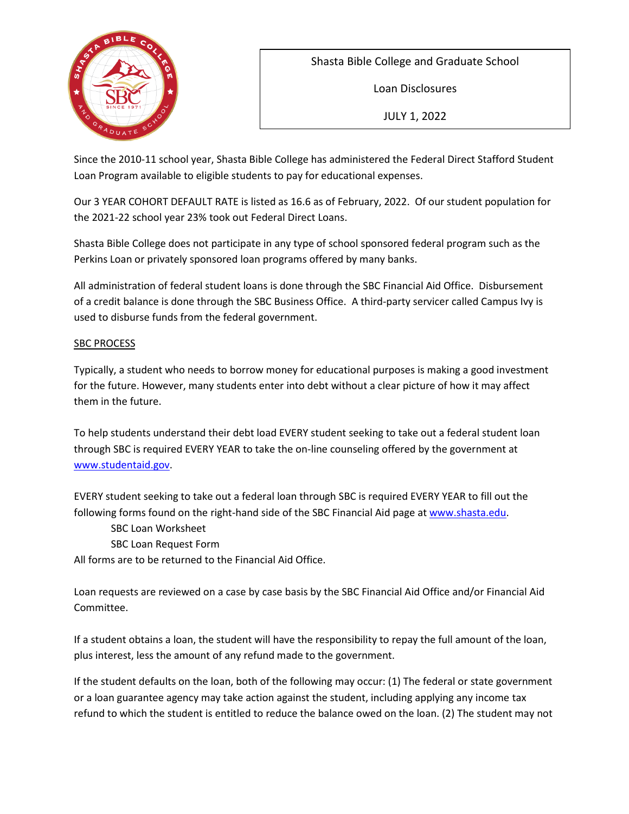

Shasta Bible College and Graduate School

Loan Disclosures

JULY 1, 2022

Since the 2010-11 school year, Shasta Bible College has administered the Federal Direct Stafford Student Loan Program available to eligible students to pay for educational expenses.

Our 3 YEAR COHORT DEFAULT RATE is listed as 16.6 as of February, 2022. Of our student population for the 2021-22 school year 23% took out Federal Direct Loans.

Shasta Bible College does not participate in any type of school sponsored federal program such as the Perkins Loan or privately sponsored loan programs offered by many banks.

All administration of federal student loans is done through the SBC Financial Aid Office. Disbursement of a credit balance is done through the SBC Business Office. A third-party servicer called Campus Ivy is used to disburse funds from the federal government.

## SBC PROCESS

Typically, a student who needs to borrow money for educational purposes is making a good investment for the future. However, many students enter into debt without a clear picture of how it may affect them in the future.

To help students understand their debt load EVERY student seeking to take out a federal student loan through SBC is required EVERY YEAR to take the on-line counseling offered by the government at [www.studentaid.gov.](http://www.studentaid.gov/)

EVERY student seeking to take out a federal loan through SBC is required EVERY YEAR to fill out the following forms found on the right-hand side of the SBC Financial Aid page at [www.shasta.edu.](http://www.shasta.edu/admissions/financialaid)

SBC Loan Worksheet

SBC Loan Request Form

All forms are to be returned to the Financial Aid Office.

Loan requests are reviewed on a case by case basis by the SBC Financial Aid Office and/or Financial Aid Committee.

If a student obtains a loan, the student will have the responsibility to repay the full amount of the loan, plus interest, less the amount of any refund made to the government.

If the student defaults on the loan, both of the following may occur: (1) The federal or state government or a loan guarantee agency may take action against the student, including applying any income tax refund to which the student is entitled to reduce the balance owed on the loan. (2) The student may not